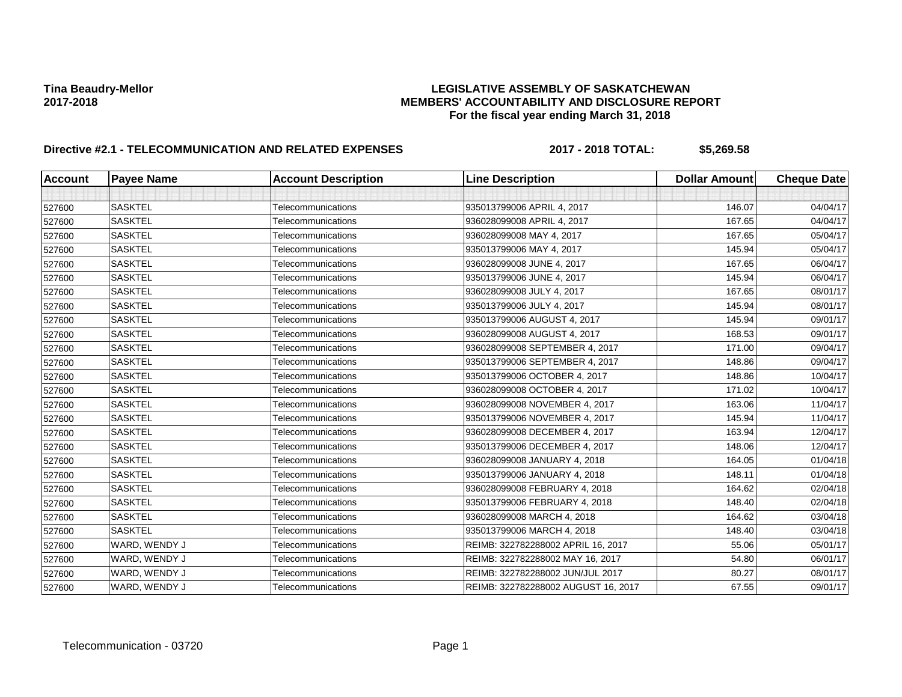# Tina Beaudry-Mellor<br>LEGISLATIVE ASSEMBLY OF SASKATCHEWAN<br>MEMBERS' ACCOUNTABILITY AND DISCLOSURE REF **2017-2018 MEMBERS' ACCOUNTABILITY AND DISCLOSURE REPORT For the fiscal year ending March 31, 2018**

# **Directive #2.1 - TELECOMMUNICATION AND RELATED EXPENSES 2017 - 2018 TOTAL: \$5,269.58**

| <b>Account</b> | <b>Payee Name</b> | <b>Account Description</b> | <b>Line Description</b>             | <b>Dollar Amount</b> | <b>Cheque Date</b> |
|----------------|-------------------|----------------------------|-------------------------------------|----------------------|--------------------|
|                |                   |                            |                                     |                      |                    |
| 527600         | <b>SASKTEL</b>    | Telecommunications         | 935013799006 APRIL 4, 2017          | 146.07               | 04/04/17           |
| 527600         | <b>SASKTEL</b>    | Telecommunications         | 936028099008 APRIL 4, 2017          | 167.65               | 04/04/17           |
| 527600         | <b>SASKTEL</b>    | Telecommunications         | 936028099008 MAY 4, 2017            | 167.65               | 05/04/17           |
| 527600         | <b>SASKTEL</b>    | Telecommunications         | 935013799006 MAY 4, 2017            | 145.94               | 05/04/17           |
| 527600         | <b>SASKTEL</b>    | Telecommunications         | 936028099008 JUNE 4, 2017           | 167.65               | 06/04/17           |
| 527600         | <b>SASKTEL</b>    | Telecommunications         | 935013799006 JUNE 4, 2017           | 145.94               | 06/04/17           |
| 527600         | <b>SASKTEL</b>    | Telecommunications         | 936028099008 JULY 4, 2017           | 167.65               | 08/01/17           |
| 527600         | <b>SASKTEL</b>    | Telecommunications         | 935013799006 JULY 4, 2017           | 145.94               | 08/01/17           |
| 527600         | <b>SASKTEL</b>    | Telecommunications         | 935013799006 AUGUST 4, 2017         | 145.94               | 09/01/17           |
| 527600         | <b>SASKTEL</b>    | Telecommunications         | 936028099008 AUGUST 4, 2017         | 168.53               | 09/01/17           |
| 527600         | <b>SASKTEL</b>    | Telecommunications         | 936028099008 SEPTEMBER 4, 2017      | 171.00               | 09/04/17           |
| 527600         | <b>SASKTEL</b>    | Telecommunications         | 935013799006 SEPTEMBER 4, 2017      | 148.86               | 09/04/17           |
| 527600         | <b>SASKTEL</b>    | Telecommunications         | 935013799006 OCTOBER 4, 2017        | 148.86               | 10/04/17           |
| 527600         | <b>SASKTEL</b>    | Telecommunications         | 936028099008 OCTOBER 4, 2017        | 171.02               | 10/04/17           |
| 527600         | <b>SASKTEL</b>    | Telecommunications         | 936028099008 NOVEMBER 4, 2017       | 163.06               | 11/04/17           |
| 527600         | <b>SASKTEL</b>    | Telecommunications         | 935013799006 NOVEMBER 4, 2017       | 145.94               | 11/04/17           |
| 527600         | <b>SASKTEL</b>    | Telecommunications         | 936028099008 DECEMBER 4, 2017       | 163.94               | 12/04/17           |
| 527600         | <b>SASKTEL</b>    | Telecommunications         | 935013799006 DECEMBER 4, 2017       | 148.06               | 12/04/17           |
| 527600         | <b>SASKTEL</b>    | Telecommunications         | 936028099008 JANUARY 4, 2018        | 164.05               | 01/04/18           |
| 527600         | <b>SASKTEL</b>    | Telecommunications         | 935013799006 JANUARY 4, 2018        | 148.11               | 01/04/18           |
| 527600         | <b>SASKTEL</b>    | Telecommunications         | 936028099008 FEBRUARY 4, 2018       | 164.62               | 02/04/18           |
| 527600         | <b>SASKTEL</b>    | Telecommunications         | 935013799006 FEBRUARY 4, 2018       | 148.40               | 02/04/18           |
| 527600         | <b>SASKTEL</b>    | Telecommunications         | 936028099008 MARCH 4, 2018          | 164.62               | 03/04/18           |
| 527600         | <b>SASKTEL</b>    | Telecommunications         | 935013799006 MARCH 4, 2018          | 148.40               | 03/04/18           |
| 527600         | WARD, WENDY J     | Telecommunications         | REIMB: 322782288002 APRIL 16, 2017  | 55.06                | 05/01/17           |
| 527600         | WARD, WENDY J     | Telecommunications         | REIMB: 322782288002 MAY 16, 2017    | 54.80                | 06/01/17           |
| 527600         | WARD, WENDY J     | Telecommunications         | REIMB: 322782288002 JUN/JUL 2017    | 80.27                | 08/01/17           |
| 527600         | WARD, WENDY J     | Telecommunications         | REIMB: 322782288002 AUGUST 16, 2017 | 67.55                | 09/01/17           |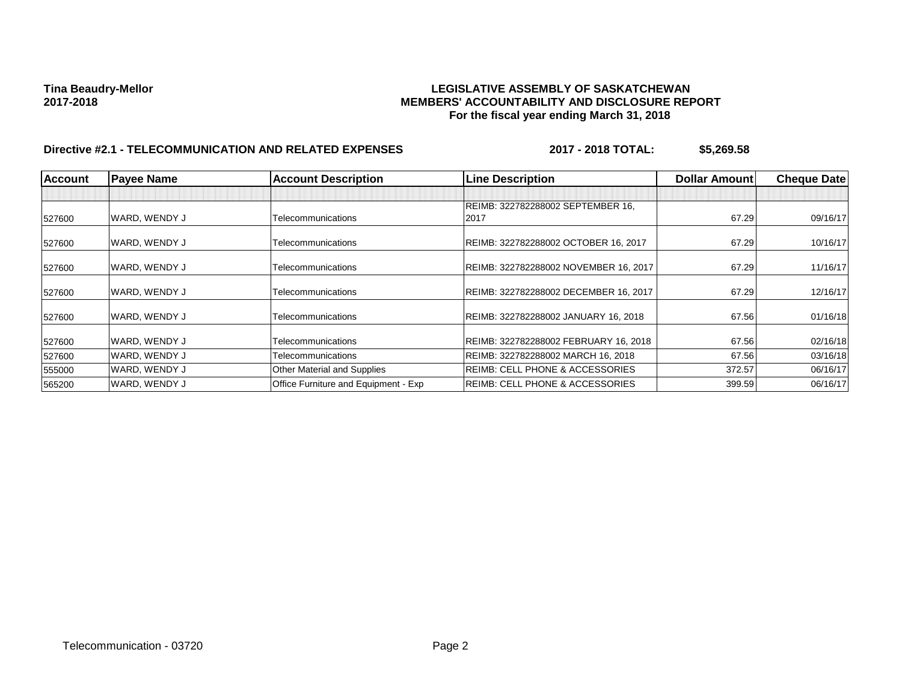# Tina Beaudry-Mellor<br>**LEGISLATIVE ASSEMBLY OF SASKATCHEWAN**<br>MEMBERS' ACCOUNTABILITY AND DISCLOSURE REF **2017-2018 MEMBERS' ACCOUNTABILITY AND DISCLOSURE REPORT For the fiscal year ending March 31, 2018**

# **Directive #2.1 - TELECOMMUNICATION AND RELATED EXPENSES 2017 - 2018 TOTAL: \$5,269.58**

| <b>Account</b> | <b>Payee Name</b> | <b>Account Description</b>           | <b>Line Description</b>                    | <b>Dollar Amount</b> | <b>Cheque Date</b> |
|----------------|-------------------|--------------------------------------|--------------------------------------------|----------------------|--------------------|
|                |                   |                                      | REIMB: 322782288002 SEPTEMBER 16,          |                      |                    |
| 527600         | WARD. WENDY J     | Telecommunications                   | 2017                                       | 67.29                | 09/16/17           |
| 527600         | WARD, WENDY J     | Telecommunications                   | REIMB: 322782288002 OCTOBER 16, 2017       | 67.29                | 10/16/17           |
| 527600         | WARD, WENDY J     | Telecommunications                   | REIMB: 322782288002 NOVEMBER 16, 2017      | 67.29                | 11/16/17           |
| 527600         | WARD, WENDY J     | Telecommunications                   | REIMB: 322782288002 DECEMBER 16, 2017      | 67.29                | 12/16/17           |
| 527600         | WARD, WENDY J     | Telecommunications                   | REIMB: 322782288002 JANUARY 16, 2018       | 67.56                | 01/16/18           |
| 527600         | WARD, WENDY J     | Telecommunications                   | REIMB: 322782288002 FEBRUARY 16, 2018      | 67.56                | 02/16/18           |
| 527600         | WARD, WENDY J     | Telecommunications                   | REIMB: 322782288002 MARCH 16, 2018         | 67.56                | 03/16/18           |
| 555000         | WARD, WENDY J     | <b>Other Material and Supplies</b>   | <b>REIMB: CELL PHONE &amp; ACCESSORIES</b> | 372.57               | 06/16/17           |
| 565200         | WARD, WENDY J     | Office Furniture and Equipment - Exp | REIMB: CELL PHONE & ACCESSORIES            | 399.59               | 06/16/17           |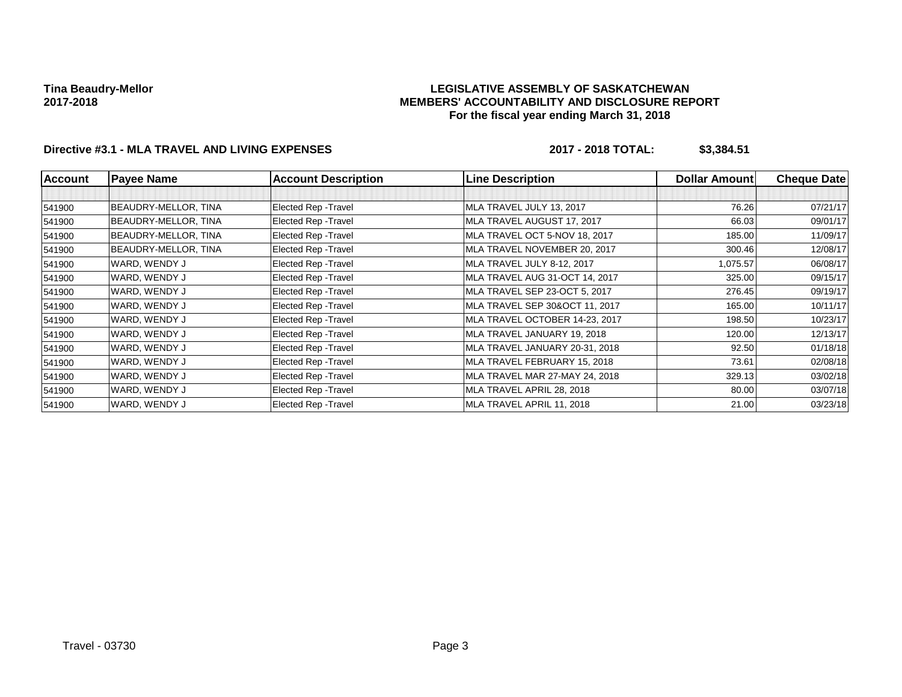### **LEGISLATIVE ASSEMBLY OF SASKATCHEWAN MEMBERS' ACCOUNTABILITY AND DISCLOSURE REPORT For the fiscal year ending March 31, 2018**

# **Directive #3.1 - MLA TRAVEL AND LIVING EXPENSES 2017 - 2018 TOTAL: \$3,384.51**

| <b>Account</b> | <b>Payee Name</b>    | <b>Account Description</b> | <b>Line Description</b>        | <b>Dollar Amount</b> | <b>Cheque Date</b> |
|----------------|----------------------|----------------------------|--------------------------------|----------------------|--------------------|
|                |                      |                            |                                |                      |                    |
| 541900         | BEAUDRY-MELLOR, TINA | Elected Rep - Travel       | MLA TRAVEL JULY 13, 2017       | 76.26                | 07/21/17           |
| 541900         | BEAUDRY-MELLOR, TINA | Elected Rep - Travel       | MLA TRAVEL AUGUST 17, 2017     | 66.03                | 09/01/17           |
| 541900         | BEAUDRY-MELLOR, TINA | Elected Rep - Travel       | MLA TRAVEL OCT 5-NOV 18, 2017  | 185.00               | 11/09/17           |
| 541900         | BEAUDRY-MELLOR, TINA | Elected Rep - Travel       | MLA TRAVEL NOVEMBER 20, 2017   | 300.46               | 12/08/17           |
| 541900         | WARD, WENDY J        | Elected Rep - Travel       | MLA TRAVEL JULY 8-12, 2017     | 1,075.57             | 06/08/17           |
| 541900         | WARD, WENDY J        | Elected Rep - Travel       | MLA TRAVEL AUG 31-OCT 14, 2017 | 325.00               | 09/15/17           |
| 541900         | WARD, WENDY J        | Elected Rep - Travel       | MLA TRAVEL SEP 23-OCT 5, 2017  | 276.45               | 09/19/17           |
| 541900         | WARD, WENDY J        | Elected Rep - Travel       | MLA TRAVEL SEP 30&OCT 11, 2017 | 165.00               | 10/11/17           |
| 541900         | WARD, WENDY J        | Elected Rep - Travel       | MLA TRAVEL OCTOBER 14-23, 2017 | 198.50               | 10/23/17           |
| 541900         | WARD, WENDY J        | Elected Rep - Travel       | MLA TRAVEL JANUARY 19, 2018    | 120.00               | 12/13/17           |
| 541900         | WARD, WENDY J        | Elected Rep - Travel       | MLA TRAVEL JANUARY 20-31, 2018 | 92.50                | 01/18/18           |
| 541900         | WARD, WENDY J        | Elected Rep - Travel       | MLA TRAVEL FEBRUARY 15, 2018   | 73.61                | 02/08/18           |
| 541900         | WARD, WENDY J        | Elected Rep - Travel       | MLA TRAVEL MAR 27-MAY 24, 2018 | 329.13               | 03/02/18           |
| 541900         | WARD, WENDY J        | Elected Rep - Travel       | MLA TRAVEL APRIL 28, 2018      | 80.00                | 03/07/18           |
| 541900         | WARD, WENDY J        | Elected Rep - Travel       | MLA TRAVEL APRIL 11, 2018      | 21.00                | 03/23/18           |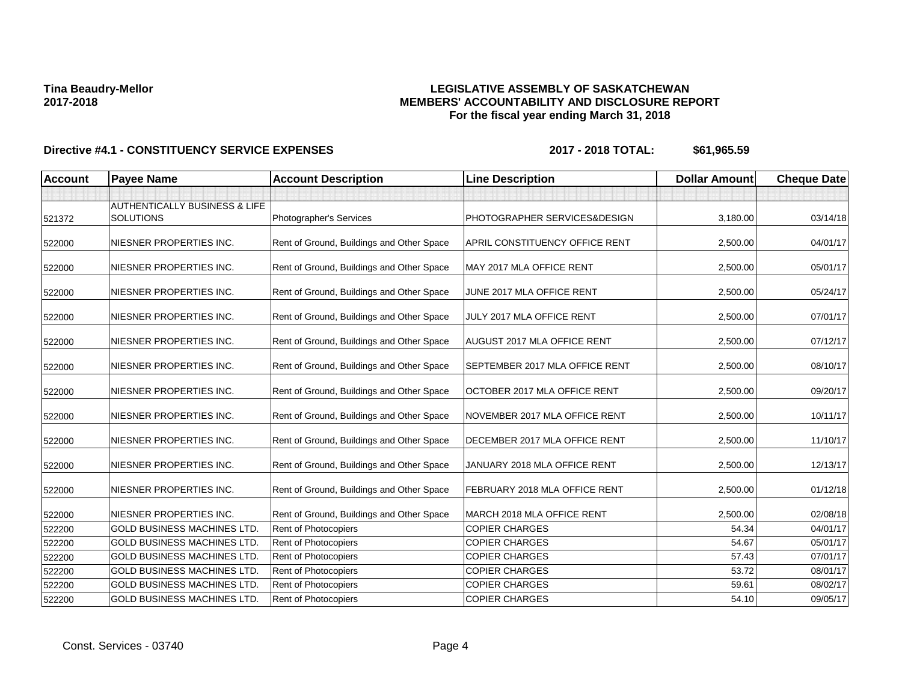### **LEGISLATIVE ASSEMBLY OF SASKATCHEWAN MEMBERS' ACCOUNTABILITY AND DISCLOSURE REPORT For the fiscal year ending March 31, 2018**

| <b>Account</b> | <b>Payee Name</b>                                            | <b>Account Description</b>                | <b>Line Description</b>        | <b>Dollar Amount</b> | <b>Cheque Date</b> |
|----------------|--------------------------------------------------------------|-------------------------------------------|--------------------------------|----------------------|--------------------|
|                |                                                              |                                           |                                |                      |                    |
| 521372         | <b>AUTHENTICALLY BUSINESS &amp; LIFE</b><br><b>SOLUTIONS</b> | Photographer's Services                   | PHOTOGRAPHER SERVICES&DESIGN   | 3,180.00             | 03/14/18           |
| 522000         | NIESNER PROPERTIES INC.                                      | Rent of Ground, Buildings and Other Space | APRIL CONSTITUENCY OFFICE RENT | 2,500.00             | 04/01/17           |
| 522000         | NIESNER PROPERTIES INC.                                      | Rent of Ground, Buildings and Other Space | MAY 2017 MLA OFFICE RENT       | 2,500.00             | 05/01/17           |
| 522000         | NIESNER PROPERTIES INC.                                      | Rent of Ground, Buildings and Other Space | JUNE 2017 MLA OFFICE RENT      | 2,500.00             | 05/24/17           |
| 522000         | NIESNER PROPERTIES INC.                                      | Rent of Ground, Buildings and Other Space | JULY 2017 MLA OFFICE RENT      | 2,500.00             | 07/01/17           |
| 522000         | NIESNER PROPERTIES INC.                                      | Rent of Ground, Buildings and Other Space | AUGUST 2017 MLA OFFICE RENT    | 2,500.00             | 07/12/17           |
| 522000         | NIESNER PROPERTIES INC.                                      | Rent of Ground, Buildings and Other Space | SEPTEMBER 2017 MLA OFFICE RENT | 2,500.00             | 08/10/17           |
| 522000         | NIESNER PROPERTIES INC.                                      | Rent of Ground, Buildings and Other Space | OCTOBER 2017 MLA OFFICE RENT   | 2,500.00             | 09/20/17           |
| 522000         | NIESNER PROPERTIES INC.                                      | Rent of Ground, Buildings and Other Space | NOVEMBER 2017 MLA OFFICE RENT  | 2,500.00             | 10/11/17           |
| 522000         | NIESNER PROPERTIES INC.                                      | Rent of Ground, Buildings and Other Space | DECEMBER 2017 MLA OFFICE RENT  | 2,500.00             | 11/10/17           |
| 522000         | NIESNER PROPERTIES INC.                                      | Rent of Ground, Buildings and Other Space | JANUARY 2018 MLA OFFICE RENT   | 2,500.00             | 12/13/17           |
| 522000         | NIESNER PROPERTIES INC.                                      | Rent of Ground, Buildings and Other Space | FEBRUARY 2018 MLA OFFICE RENT  | 2,500.00             | 01/12/18           |
| 522000         | NIESNER PROPERTIES INC.                                      | Rent of Ground, Buildings and Other Space | MARCH 2018 MLA OFFICE RENT     | 2,500.00             | 02/08/18           |
| 522200         | <b>GOLD BUSINESS MACHINES LTD.</b>                           | Rent of Photocopiers                      | <b>COPIER CHARGES</b>          | 54.34                | 04/01/17           |
| 522200         | <b>GOLD BUSINESS MACHINES LTD.</b>                           | Rent of Photocopiers                      | <b>COPIER CHARGES</b>          | 54.67                | 05/01/17           |
| 522200         | <b>GOLD BUSINESS MACHINES LTD.</b>                           | Rent of Photocopiers                      | <b>COPIER CHARGES</b>          | 57.43                | 07/01/17           |
| 522200         | <b>GOLD BUSINESS MACHINES LTD.</b>                           | <b>Rent of Photocopiers</b>               | <b>COPIER CHARGES</b>          | 53.72                | 08/01/17           |
| 522200         | <b>GOLD BUSINESS MACHINES LTD</b>                            | Rent of Photocopiers                      | <b>COPIER CHARGES</b>          | 59.61                | 08/02/17           |
| 522200         | <b>GOLD BUSINESS MACHINES LTD.</b>                           | Rent of Photocopiers                      | <b>COPIER CHARGES</b>          | 54.10                | 09/05/17           |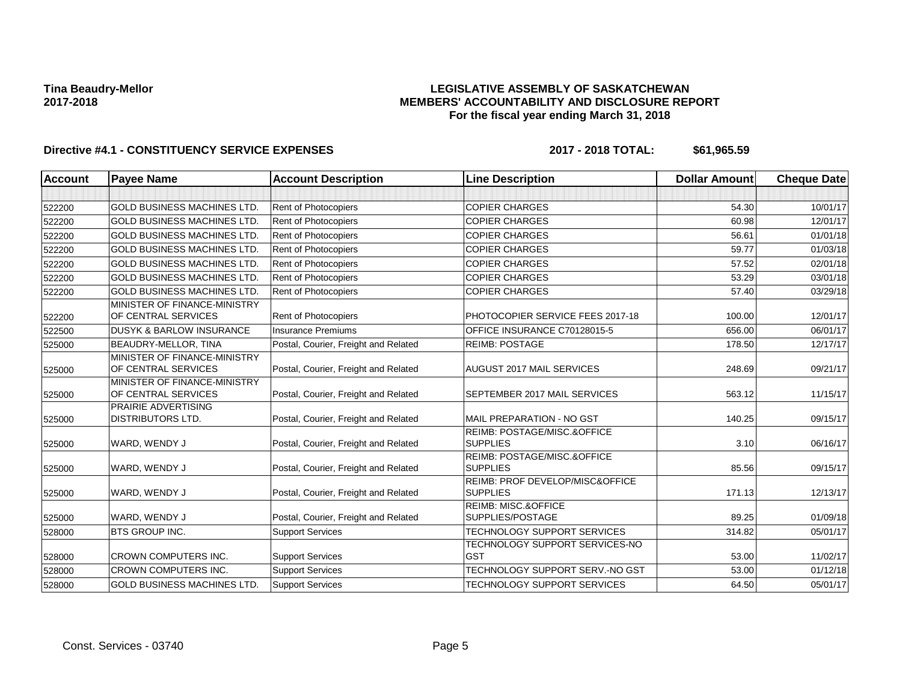### **LEGISLATIVE ASSEMBLY OF SASKATCHEWAN MEMBERS' ACCOUNTABILITY AND DISCLOSURE REPORT For the fiscal year ending March 31, 2018**

| <b>Account</b> | <b>Payee Name</b>                                   | <b>Account Description</b>           | <b>Line Description</b>                            | <b>Dollar Amount</b> | <b>Cheque Date</b> |
|----------------|-----------------------------------------------------|--------------------------------------|----------------------------------------------------|----------------------|--------------------|
|                |                                                     |                                      |                                                    |                      |                    |
| 522200         | <b>GOLD BUSINESS MACHINES LTD.</b>                  | Rent of Photocopiers                 | <b>COPIER CHARGES</b>                              | 54.30                | 10/01/17           |
| 522200         | <b>GOLD BUSINESS MACHINES LTD</b>                   | <b>Rent of Photocopiers</b>          | <b>COPIER CHARGES</b>                              | 60.98                | 12/01/17           |
| 522200         | <b>GOLD BUSINESS MACHINES LTD</b>                   | Rent of Photocopiers                 | <b>COPIER CHARGES</b>                              | 56.61                | 01/01/18           |
| 522200         | <b>GOLD BUSINESS MACHINES LTD</b>                   | <b>Rent of Photocopiers</b>          | <b>COPIER CHARGES</b>                              | 59.77                | 01/03/18           |
| 522200         | <b>GOLD BUSINESS MACHINES LTD</b>                   | Rent of Photocopiers                 | <b>COPIER CHARGES</b>                              | 57.52                | 02/01/18           |
| 522200         | <b>GOLD BUSINESS MACHINES LTD</b>                   | <b>Rent of Photocopiers</b>          | <b>COPIER CHARGES</b>                              | 53.29                | 03/01/18           |
| 522200         | <b>GOLD BUSINESS MACHINES LTD</b>                   | Rent of Photocopiers                 | <b>COPIER CHARGES</b>                              | 57.40                | 03/29/18           |
|                | MINISTER OF FINANCE-MINISTRY                        |                                      |                                                    |                      |                    |
| 522200         | OF CENTRAL SERVICES                                 | <b>Rent of Photocopiers</b>          | PHOTOCOPIER SERVICE FEES 2017-18                   | 100.00               | 12/01/17           |
| 522500         | <b>DUSYK &amp; BARLOW INSURANCE</b>                 | <b>Insurance Premiums</b>            | OFFICE INSURANCE C70128015-5                       | 656.00               | 06/01/17           |
| 525000         | <b>BEAUDRY-MELLOR, TINA</b>                         | Postal, Courier, Freight and Related | <b>REIMB: POSTAGE</b>                              | 178.50               | 12/17/17           |
|                | MINISTER OF FINANCE-MINISTRY                        |                                      |                                                    |                      |                    |
| 525000         | OF CENTRAL SERVICES                                 | Postal, Courier, Freight and Related | <b>AUGUST 2017 MAIL SERVICES</b>                   | 248.69               | 09/21/17           |
| 525000         | MINISTER OF FINANCE-MINISTRY<br>OF CENTRAL SERVICES | Postal, Courier, Freight and Related | SEPTEMBER 2017 MAIL SERVICES                       | 563.12               | 11/15/17           |
|                | <b>PRAIRIE ADVERTISING</b>                          |                                      |                                                    |                      |                    |
| 525000         | <b>DISTRIBUTORS LTD.</b>                            | Postal, Courier, Freight and Related | MAIL PREPARATION - NO GST                          | 140.25               | 09/15/17           |
|                |                                                     |                                      | REIMB: POSTAGE/MISC.&OFFICE                        |                      |                    |
| 525000         | WARD, WENDY J                                       | Postal, Courier, Freight and Related | <b>SUPPLIES</b>                                    | 3.10                 | 06/16/17           |
|                |                                                     |                                      | REIMB: POSTAGE/MISC.&OFFICE                        |                      |                    |
| 525000         | WARD, WENDY J                                       | Postal, Courier, Freight and Related | <b>SUPPLIES</b>                                    | 85.56                | 09/15/17           |
| 525000         | WARD, WENDY J                                       | Postal, Courier, Freight and Related | REIMB: PROF DEVELOP/MISC&OFFICE<br><b>SUPPLIES</b> | 171.13               | 12/13/17           |
|                |                                                     |                                      | <b>REIMB: MISC.&amp;OFFICE</b>                     |                      |                    |
| 525000         | WARD, WENDY J                                       | Postal, Courier, Freight and Related | SUPPLIES/POSTAGE                                   | 89.25                | 01/09/18           |
| 528000         | <b>BTS GROUP INC.</b>                               | <b>Support Services</b>              | TECHNOLOGY SUPPORT SERVICES                        | 314.82               | 05/01/17           |
|                |                                                     |                                      | TECHNOLOGY SUPPORT SERVICES-NO                     |                      |                    |
| 528000         | <b>CROWN COMPUTERS INC.</b>                         | <b>Support Services</b>              | <b>GST</b>                                         | 53.00                | 11/02/17           |
| 528000         | <b>CROWN COMPUTERS INC.</b>                         | <b>Support Services</b>              | TECHNOLOGY SUPPORT SERV.-NO GST                    | 53.00                | 01/12/18           |
| 528000         | <b>GOLD BUSINESS MACHINES LTD</b>                   | <b>Support Services</b>              | <b>TECHNOLOGY SUPPORT SERVICES</b>                 | 64.50                | 05/01/17           |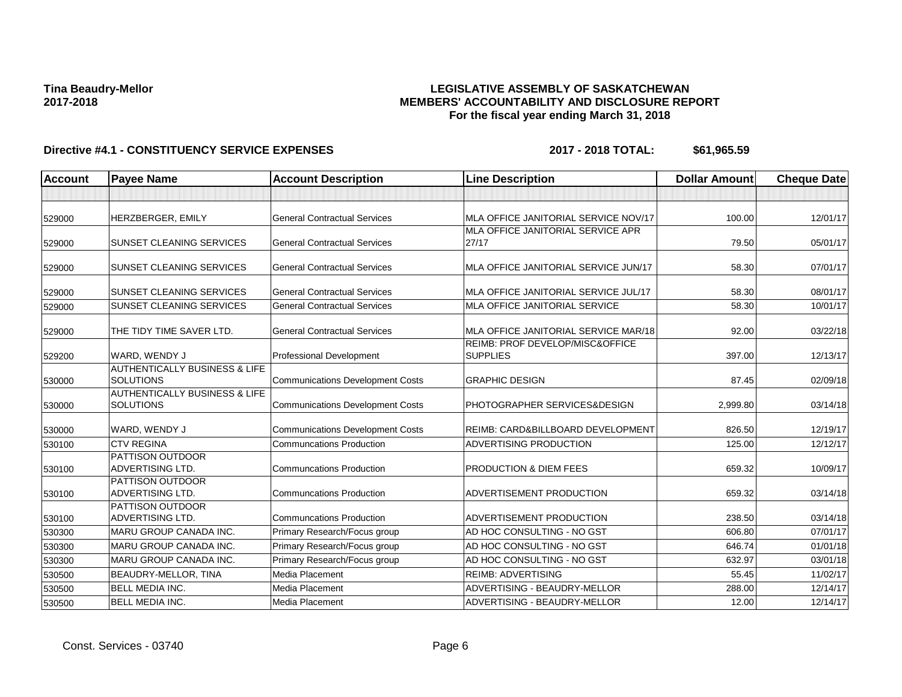### **LEGISLATIVE ASSEMBLY OF SASKATCHEWAN MEMBERS' ACCOUNTABILITY AND DISCLOSURE REPORT For the fiscal year ending March 31, 2018**

| <b>Account</b><br><b>Payee Name</b> |                                                       | <b>Account Description</b>              | <b>Line Description</b>                            | <b>Dollar Amount</b> | <b>Cheque Date</b> |
|-------------------------------------|-------------------------------------------------------|-----------------------------------------|----------------------------------------------------|----------------------|--------------------|
|                                     |                                                       |                                         |                                                    |                      |                    |
| 529000                              | HERZBERGER, EMILY                                     | <b>General Contractual Services</b>     | MLA OFFICE JANITORIAL SERVICE NOV/17               | 100.00               | 12/01/17           |
| 529000                              | <b>SUNSET CLEANING SERVICES</b>                       | <b>General Contractual Services</b>     | MLA OFFICE JANITORIAL SERVICE APR<br>27/17         | 79.50                | 05/01/17           |
| 529000                              | <b>SUNSET CLEANING SERVICES</b>                       | <b>General Contractual Services</b>     | MLA OFFICE JANITORIAL SERVICE JUN/17               | 58.30                | 07/01/17           |
| 529000                              | <b>SUNSET CLEANING SERVICES</b>                       | <b>General Contractual Services</b>     | MLA OFFICE JANITORIAL SERVICE JUL/17               | 58.30                | 08/01/17           |
| 529000                              | <b>SUNSET CLEANING SERVICES</b>                       | <b>General Contractual Services</b>     | MLA OFFICE JANITORIAL SERVICE                      | 58.30                | 10/01/17           |
| 529000                              | THE TIDY TIME SAVER LTD.                              | <b>General Contractual Services</b>     | MLA OFFICE JANITORIAL SERVICE MAR/18               | 92.00                | 03/22/18           |
| 529200                              | WARD, WENDY J                                         | Professional Development                | REIMB: PROF DEVELOP/MISC&OFFICE<br><b>SUPPLIES</b> | 397.00               | 12/13/17           |
| 530000                              | <b>AUTHENTICALLY BUSINESS &amp; LIFE</b><br>SOLUTIONS | <b>Communications Development Costs</b> | <b>GRAPHIC DESIGN</b>                              | 87.45                | 02/09/18           |
| 530000                              | <b>AUTHENTICALLY BUSINESS &amp; LIFE</b><br>SOLUTIONS | <b>Communications Development Costs</b> | PHOTOGRAPHER SERVICES&DESIGN                       | 2,999.80             | 03/14/18           |
| 530000                              | WARD, WENDY J                                         | <b>Communications Development Costs</b> | REIMB: CARD&BILLBOARD DEVELOPMENT                  | 826.50               | 12/19/17           |
| 530100                              | <b>CTV REGINA</b>                                     | <b>Communcations Production</b>         | ADVERTISING PRODUCTION                             | 125.00               | 12/12/17           |
| 530100                              | <b>PATTISON OUTDOOR</b><br><b>ADVERTISING LTD.</b>    | <b>Communcations Production</b>         | PRODUCTION & DIEM FEES                             | 659.32               | 10/09/17           |
| 530100                              | <b>PATTISON OUTDOOR</b><br>ADVERTISING LTD.           | <b>Communcations Production</b>         | ADVERTISEMENT PRODUCTION                           | 659.32               | 03/14/18           |
| 530100                              | <b>PATTISON OUTDOOR</b><br><b>ADVERTISING LTD.</b>    | <b>Communcations Production</b>         | ADVERTISEMENT PRODUCTION                           | 238.50               | 03/14/18           |
| 530300                              | MARU GROUP CANADA INC.                                | Primary Research/Focus group            | AD HOC CONSULTING - NO GST                         | 606.80               | 07/01/17           |
| 530300                              | MARU GROUP CANADA INC.                                | Primary Research/Focus group            | AD HOC CONSULTING - NO GST                         | 646.74               | 01/01/18           |
| 530300                              | MARU GROUP CANADA INC.                                | Primary Research/Focus group            | AD HOC CONSULTING - NO GST                         | 632.97               | 03/01/18           |
| 530500                              | BEAUDRY-MELLOR, TINA                                  | Media Placement                         | <b>REIMB: ADVERTISING</b>                          | 55.45                | 11/02/17           |
| 530500                              | <b>BELL MEDIA INC.</b>                                | Media Placement                         | ADVERTISING - BEAUDRY-MELLOR                       | 288.00               | 12/14/17           |
| 530500                              | <b>BELL MEDIA INC.</b>                                | Media Placement                         | ADVERTISING - BEAUDRY-MELLOR                       | 12.00                | 12/14/17           |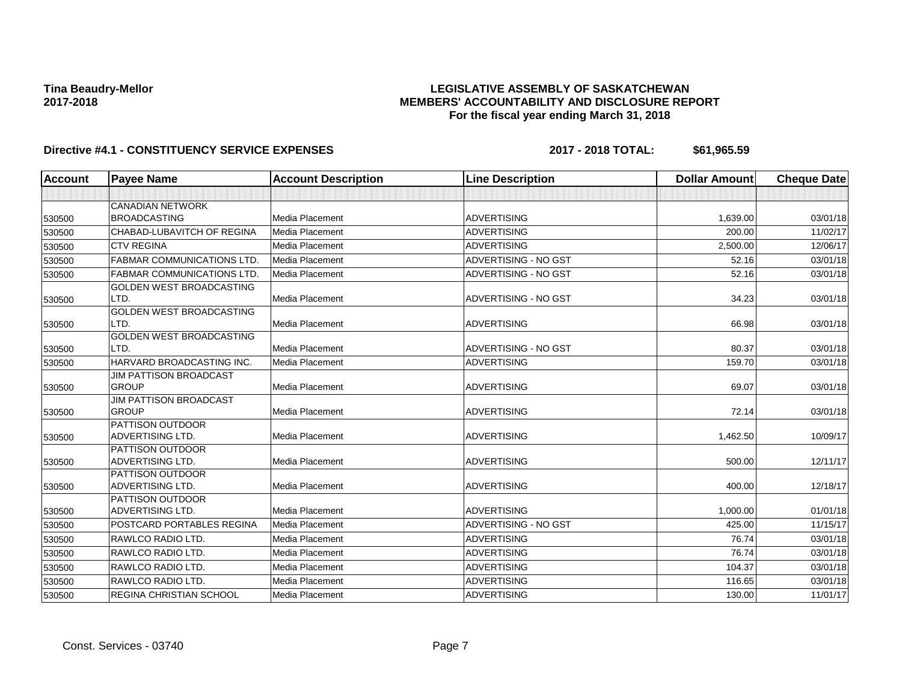### **LEGISLATIVE ASSEMBLY OF SASKATCHEWAN MEMBERS' ACCOUNTABILITY AND DISCLOSURE REPORT For the fiscal year ending March 31, 2018**

| <b>Account</b> | <b>Payee Name</b>                      | <b>Account Description</b> | <b>Line Description</b> | <b>Dollar Amount</b> | <b>Cheque Date</b> |
|----------------|----------------------------------------|----------------------------|-------------------------|----------------------|--------------------|
|                |                                        |                            |                         |                      |                    |
|                | <b>CANADIAN NETWORK</b>                |                            |                         |                      |                    |
| 530500         | <b>BROADCASTING</b>                    | Media Placement            | <b>ADVERTISING</b>      | 1,639.00             | 03/01/18           |
| 530500         | CHABAD-LUBAVITCH OF REGINA             | Media Placement            | <b>ADVERTISING</b>      | 200.00               | 11/02/17           |
| 530500         | <b>CTV REGINA</b>                      | Media Placement            | <b>ADVERTISING</b>      | 2,500.00             | 12/06/17           |
| 530500         | <b>FABMAR COMMUNICATIONS LTD.</b>      | Media Placement            | ADVERTISING - NO GST    | 52.16                | 03/01/18           |
| 530500         | <b>FABMAR COMMUNICATIONS LTD.</b>      | Media Placement            | ADVERTISING - NO GST    | 52.16                | 03/01/18           |
|                | GOLDEN WEST BROADCASTING               |                            |                         |                      |                    |
| 530500         | LTD.                                   | Media Placement            | ADVERTISING - NO GST    | 34.23                | 03/01/18           |
|                | GOLDEN WEST BROADCASTING               |                            |                         |                      |                    |
| 530500         | LTD.                                   | Media Placement            | <b>ADVERTISING</b>      | 66.98                | 03/01/18           |
|                | <b>GOLDEN WEST BROADCASTING</b>        |                            |                         |                      |                    |
| 530500         | LTD.                                   | Media Placement            | ADVERTISING - NO GST    | 80.37                | 03/01/18           |
| 530500         | HARVARD BROADCASTING INC.              | Media Placement            | <b>ADVERTISING</b>      | 159.70               | 03/01/18           |
|                | JIM PATTISON BROADCAST<br><b>GROUP</b> |                            | <b>ADVERTISING</b>      |                      |                    |
| 530500         | <b>JIM PATTISON BROADCAST</b>          | Media Placement            |                         | 69.07                | 03/01/18           |
| 530500         | <b>GROUP</b>                           | Media Placement            | <b>ADVERTISING</b>      | 72.14                | 03/01/18           |
|                | <b>PATTISON OUTDOOR</b>                |                            |                         |                      |                    |
| 530500         | <b>ADVERTISING LTD.</b>                | Media Placement            | <b>ADVERTISING</b>      | 1,462.50             | 10/09/17           |
|                | <b>PATTISON OUTDOOR</b>                |                            |                         |                      |                    |
| 530500         | <b>ADVERTISING LTD.</b>                | <b>Media Placement</b>     | <b>ADVERTISING</b>      | 500.00               | 12/11/17           |
|                | <b>PATTISON OUTDOOR</b>                |                            |                         |                      |                    |
| 530500         | <b>ADVERTISING LTD.</b>                | Media Placement            | <b>ADVERTISING</b>      | 400.00               | 12/18/17           |
|                | PATTISON OUTDOOR                       |                            |                         |                      |                    |
| 530500         | <b>ADVERTISING LTD.</b>                | Media Placement            | <b>ADVERTISING</b>      | 1,000.00             | 01/01/18           |
| 530500         | POSTCARD PORTABLES REGINA              | Media Placement            | ADVERTISING - NO GST    | 425.00               | 11/15/17           |
| 530500         | RAWLCO RADIO LTD.                      | Media Placement            | <b>ADVERTISING</b>      | 76.74                | 03/01/18           |
| 530500         | RAWLCO RADIO LTD.                      | Media Placement            | <b>ADVERTISING</b>      | 76.74                | 03/01/18           |
| 530500         | <b>RAWLCO RADIO LTD.</b>               | Media Placement            | <b>ADVERTISING</b>      | 104.37               | 03/01/18           |
| 530500         | RAWLCO RADIO LTD.                      | Media Placement            | <b>ADVERTISING</b>      | 116.65               | 03/01/18           |
| 530500         | <b>REGINA CHRISTIAN SCHOOL</b>         | Media Placement            | <b>ADVERTISING</b>      | 130.00               | 11/01/17           |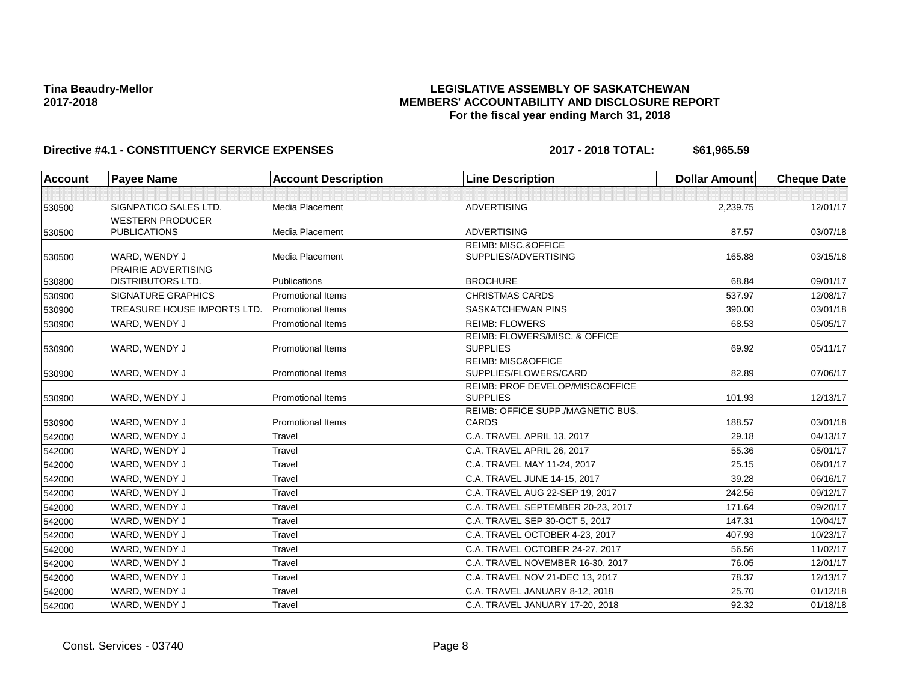### **LEGISLATIVE ASSEMBLY OF SASKATCHEWAN MEMBERS' ACCOUNTABILITY AND DISCLOSURE REPORT For the fiscal year ending March 31, 2018**

| <b>Account</b> | <b>Payee Name</b>           | <b>Account Description</b> | <b>Line Description</b>                                       | <b>Dollar Amount</b> | <b>Cheque Date</b> |
|----------------|-----------------------------|----------------------------|---------------------------------------------------------------|----------------------|--------------------|
|                |                             |                            |                                                               |                      |                    |
| 530500         | SIGNPATICO SALES LTD.       | <b>Media Placement</b>     | <b>ADVERTISING</b>                                            | 2,239.75             | 12/01/17           |
|                | <b>WESTERN PRODUCER</b>     |                            |                                                               |                      |                    |
| 530500         | <b>PUBLICATIONS</b>         | <b>Media Placement</b>     | <b>ADVERTISING</b>                                            | 87.57                | 03/07/18           |
| 530500         | WARD, WENDY J               | Media Placement            | <b>REIMB: MISC.&amp;OFFICE</b><br>SUPPLIES/ADVERTISING        | 165.88               | 03/15/18           |
|                | PRAIRIE ADVERTISING         |                            |                                                               |                      |                    |
| 530800         | <b>DISTRIBUTORS LTD.</b>    | Publications               | <b>BROCHURE</b>                                               | 68.84                | 09/01/17           |
| 530900         | <b>SIGNATURE GRAPHICS</b>   | <b>Promotional Items</b>   | <b>CHRISTMAS CARDS</b>                                        | 537.97               | 12/08/17           |
| 530900         | TREASURE HOUSE IMPORTS LTD. | <b>Promotional Items</b>   | <b>SASKATCHEWAN PINS</b>                                      | 390.00               | 03/01/18           |
| 530900         | WARD, WENDY J               | <b>Promotional Items</b>   | <b>REIMB: FLOWERS</b>                                         | 68.53                | 05/05/17           |
| 530900         | WARD, WENDY J               | <b>Promotional Items</b>   | <b>REIMB: FLOWERS/MISC, &amp; OFFICE</b><br><b>SUPPLIES</b>   | 69.92                | 05/11/17           |
| 530900         | WARD, WENDY J               | <b>Promotional Items</b>   | <b>REIMB: MISC&amp;OFFICE</b><br>SUPPLIES/FLOWERS/CARD        | 82.89                | 07/06/17           |
| 530900         | WARD, WENDY J               | <b>Promotional Items</b>   | <b>REIMB: PROF DEVELOP/MISC&amp;OFFICE</b><br><b>SUPPLIES</b> | 101.93               | 12/13/17           |
| 530900         | WARD, WENDY J               | <b>Promotional Items</b>   | REIMB: OFFICE SUPP./MAGNETIC BUS.<br><b>CARDS</b>             | 188.57               | 03/01/18           |
| 542000         | WARD, WENDY J               | Travel                     | C.A. TRAVEL APRIL 13, 2017                                    | 29.18                | 04/13/17           |
| 542000         | WARD, WENDY J               | Travel                     | C.A. TRAVEL APRIL 26, 2017                                    | 55.36                | 05/01/17           |
| 542000         | WARD, WENDY J               | Travel                     | C.A. TRAVEL MAY 11-24, 2017                                   | 25.15                | 06/01/17           |
| 542000         | WARD, WENDY J               | Travel                     | C.A. TRAVEL JUNE 14-15, 2017                                  | 39.28                | 06/16/17           |
| 542000         | WARD, WENDY J               | Travel                     | C.A. TRAVEL AUG 22-SEP 19, 2017                               | 242.56               | 09/12/17           |
| 542000         | WARD, WENDY J               | Travel                     | C.A. TRAVEL SEPTEMBER 20-23, 2017                             | 171.64               | 09/20/17           |
| 542000         | WARD, WENDY J               | Travel                     | C.A. TRAVEL SEP 30-OCT 5, 2017                                | 147.31               | 10/04/17           |
| 542000         | WARD, WENDY J               | Travel                     | C.A. TRAVEL OCTOBER 4-23, 2017                                | 407.93               | 10/23/17           |
| 542000         | WARD, WENDY J               | Travel                     | C.A. TRAVEL OCTOBER 24-27, 2017                               | 56.56                | 11/02/17           |
| 542000         | WARD, WENDY J               | Travel                     | C.A. TRAVEL NOVEMBER 16-30, 2017                              | 76.05                | 12/01/17           |
| 542000         | WARD, WENDY J               | Travel                     | C.A. TRAVEL NOV 21-DEC 13, 2017                               | 78.37                | 12/13/17           |
| 542000         | WARD, WENDY J               | Travel                     | C.A. TRAVEL JANUARY 8-12, 2018                                | 25.70                | 01/12/18           |
| 542000         | WARD, WENDY J               | Travel                     | C.A. TRAVEL JANUARY 17-20, 2018                               | 92.32                | 01/18/18           |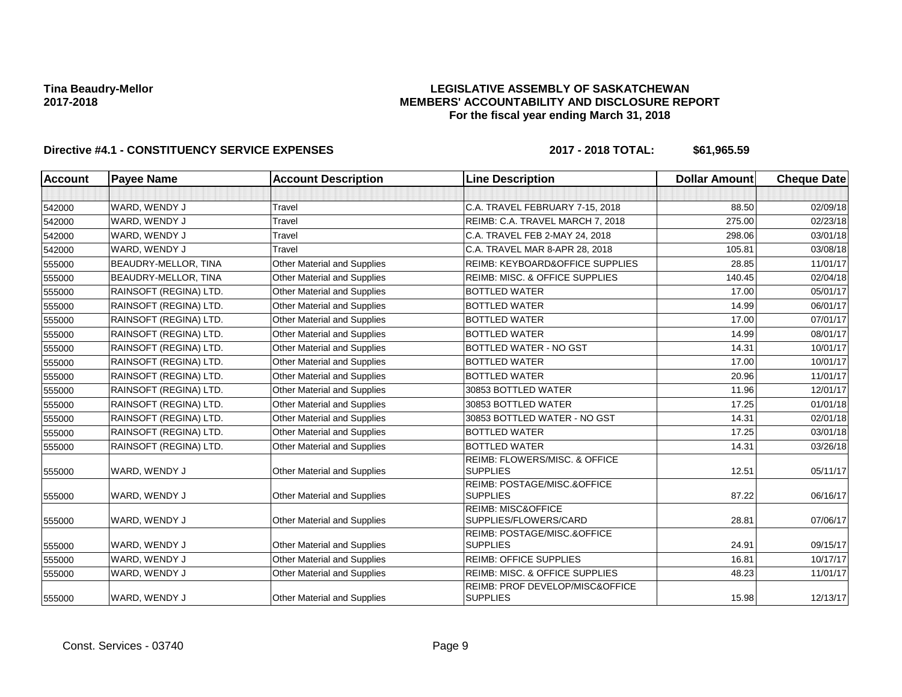### **LEGISLATIVE ASSEMBLY OF SASKATCHEWAN MEMBERS' ACCOUNTABILITY AND DISCLOSURE REPORT For the fiscal year ending March 31, 2018**

| <b>Account</b> | <b>Payee Name</b>      | <b>Account Description</b>         | <b>Line Description</b>                                     | <b>Dollar Amount</b> | <b>Cheque Date</b> |
|----------------|------------------------|------------------------------------|-------------------------------------------------------------|----------------------|--------------------|
|                |                        |                                    |                                                             |                      |                    |
| 542000         | WARD, WENDY J          | Travel                             | C.A. TRAVEL FEBRUARY 7-15, 2018                             | 88.50                | 02/09/18           |
| 542000         | WARD, WENDY J          | Travel                             | REIMB: C.A. TRAVEL MARCH 7, 2018                            | 275.00               | 02/23/18           |
| 542000         | WARD, WENDY J          | Travel                             | C.A. TRAVEL FEB 2-MAY 24, 2018                              | 298.06               | 03/01/18           |
| 542000         | WARD, WENDY J          | Travel                             | C.A. TRAVEL MAR 8-APR 28, 2018                              | 105.81               | 03/08/18           |
| 555000         | BEAUDRY-MELLOR, TINA   | <b>Other Material and Supplies</b> | REIMB: KEYBOARD&OFFICE SUPPLIES                             | 28.85                | 11/01/17           |
| 555000         | BEAUDRY-MELLOR, TINA   | <b>Other Material and Supplies</b> | <b>REIMB: MISC. &amp; OFFICE SUPPLIES</b>                   | 140.45               | 02/04/18           |
| 555000         | RAINSOFT (REGINA) LTD. | <b>Other Material and Supplies</b> | <b>BOTTLED WATER</b>                                        | 17.00                | 05/01/17           |
| 555000         | RAINSOFT (REGINA) LTD. | <b>Other Material and Supplies</b> | <b>BOTTLED WATER</b>                                        | 14.99                | 06/01/17           |
| 555000         | RAINSOFT (REGINA) LTD. | <b>Other Material and Supplies</b> | <b>BOTTLED WATER</b>                                        | 17.00                | 07/01/17           |
| 555000         | RAINSOFT (REGINA) LTD. | <b>Other Material and Supplies</b> | <b>BOTTLED WATER</b>                                        | 14.99                | 08/01/17           |
| 555000         | RAINSOFT (REGINA) LTD. | <b>Other Material and Supplies</b> | <b>BOTTLED WATER - NO GST</b>                               | 14.31                | 10/01/17           |
| 555000         | RAINSOFT (REGINA) LTD. | <b>Other Material and Supplies</b> | <b>BOTTLED WATER</b>                                        | 17.00                | 10/01/17           |
| 555000         | RAINSOFT (REGINA) LTD. | <b>Other Material and Supplies</b> | <b>BOTTLED WATER</b>                                        | 20.96                | 11/01/17           |
| 555000         | RAINSOFT (REGINA) LTD. | <b>Other Material and Supplies</b> | 30853 BOTTLED WATER                                         | 11.96                | 12/01/17           |
| 555000         | RAINSOFT (REGINA) LTD. | <b>Other Material and Supplies</b> | 30853 BOTTLED WATER                                         | 17.25                | 01/01/18           |
| 555000         | RAINSOFT (REGINA) LTD. | <b>Other Material and Supplies</b> | 30853 BOTTLED WATER - NO GST                                | 14.31                | 02/01/18           |
| 555000         | RAINSOFT (REGINA) LTD. | Other Material and Supplies        | <b>BOTTLED WATER</b>                                        | 17.25                | 03/01/18           |
| 555000         | RAINSOFT (REGINA) LTD. | Other Material and Supplies        | <b>BOTTLED WATER</b>                                        | 14.31                | 03/26/18           |
| 555000         | WARD, WENDY J          | <b>Other Material and Supplies</b> | <b>REIMB: FLOWERS/MISC, &amp; OFFICE</b><br><b>SUPPLIES</b> | 12.51                | 05/11/17           |
| 555000         | WARD, WENDY J          | <b>Other Material and Supplies</b> | REIMB: POSTAGE/MISC.&OFFICE<br><b>SUPPLIES</b>              | 87.22                | 06/16/17           |
| 555000         | WARD, WENDY J          | <b>Other Material and Supplies</b> | <b>REIMB: MISC&amp;OFFICE</b><br>SUPPLIES/FLOWERS/CARD      | 28.81                | 07/06/17           |
| 555000         | WARD, WENDY J          | <b>Other Material and Supplies</b> | REIMB: POSTAGE/MISC.&OFFICE<br><b>SUPPLIES</b>              | 24.91                | 09/15/17           |
| 555000         | WARD, WENDY J          | Other Material and Supplies        | <b>REIMB: OFFICE SUPPLIES</b>                               | 16.81                | 10/17/17           |
| 555000         | WARD, WENDY J          | <b>Other Material and Supplies</b> | <b>REIMB: MISC. &amp; OFFICE SUPPLIES</b>                   | 48.23                | 11/01/17           |
| 555000         | WARD, WENDY J          | <b>Other Material and Supplies</b> | REIMB: PROF DEVELOP/MISC&OFFICE<br><b>SUPPLIES</b>          | 15.98                | 12/13/17           |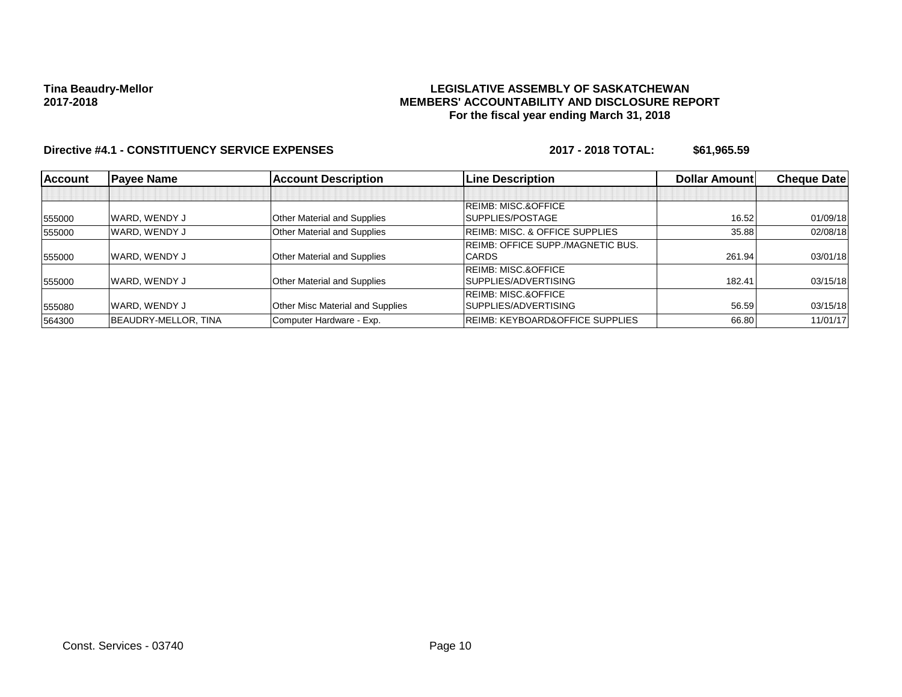### **LEGISLATIVE ASSEMBLY OF SASKATCHEWAN MEMBERS' ACCOUNTABILITY AND DISCLOSURE REPORT For the fiscal year ending March 31, 2018**

| Account | <b>Payee Name</b>    | <b>Account Description</b>       | <b>Line Description</b>                    | Dollar Amount | <b>Cheque Datel</b> |
|---------|----------------------|----------------------------------|--------------------------------------------|---------------|---------------------|
|         |                      |                                  |                                            |               |                     |
|         |                      |                                  | <b>REIMB: MISC.&amp;OFFICE</b>             |               |                     |
| 555000  | WARD, WENDY J        | Other Material and Supplies      | SUPPLIES/POSTAGE                           | 16.52         | 01/09/18            |
| 555000  | WARD. WENDY J        | Other Material and Supplies      | <b>REIMB: MISC. &amp; OFFICE SUPPLIES</b>  | 35.88         | 02/08/18            |
|         |                      |                                  | REIMB: OFFICE SUPP./MAGNETIC BUS.          |               |                     |
| 555000  | WARD, WENDY J        | Other Material and Supplies      | <b>CARDS</b>                               | 261.94        | 03/01/18            |
|         |                      |                                  | <b>REIMB: MISC.&amp;OFFICE</b>             |               |                     |
| 555000  | WARD, WENDY J        | Other Material and Supplies      | SUPPLIES/ADVERTISING                       | 182.41        | 03/15/18            |
|         |                      |                                  | <b>REIMB: MISC.&amp;OFFICE</b>             |               |                     |
| 555080  | WARD, WENDY J        | Other Misc Material and Supplies | SUPPLIES/ADVERTISING                       | 56.59         | 03/15/18            |
| 564300  | BEAUDRY-MELLOR, TINA | Computer Hardware - Exp.         | <b>REIMB: KEYBOARD&amp;OFFICE SUPPLIES</b> | 66.80         | 11/01/17            |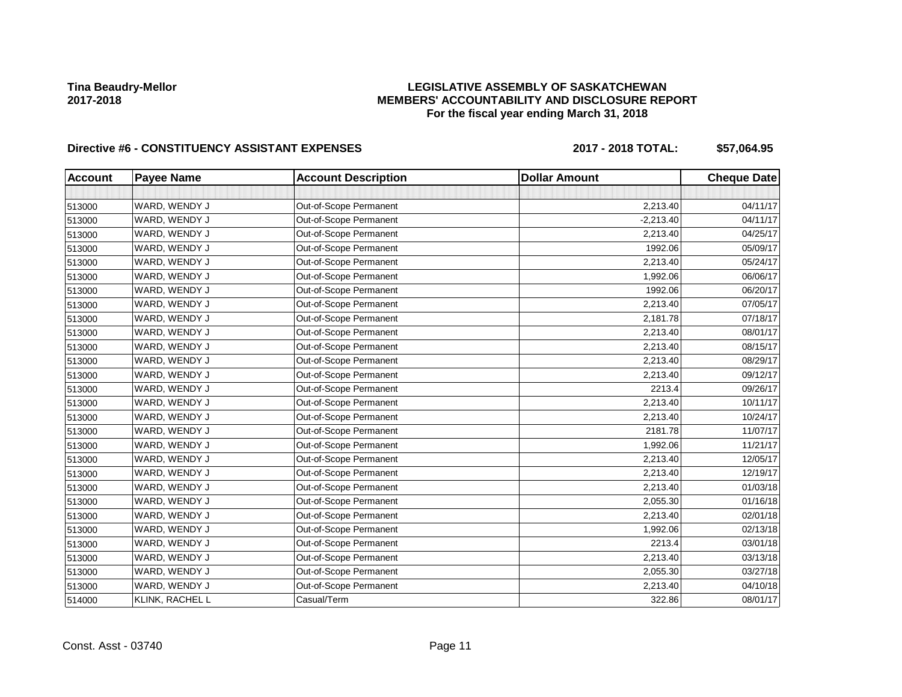### **LEGISLATIVE ASSEMBLY OF SASKATCHEWAN MEMBERS' ACCOUNTABILITY AND DISCLOSURE REPORT For the fiscal year ending March 31, 2018**

# Directive #6 - CONSTITUENCY ASSISTANT EXPENSES 2017 - 2018 TOTAL: \$57,064.95

| <b>Account</b> | <b>Payee Name</b> | <b>Account Description</b> | <b>Dollar Amount</b> | <b>Cheque Date</b> |
|----------------|-------------------|----------------------------|----------------------|--------------------|
|                |                   |                            |                      |                    |
| 513000         | WARD, WENDY J     | Out-of-Scope Permanent     | 2,213.40             | 04/11/17           |
| 513000         | WARD, WENDY J     | Out-of-Scope Permanent     | $-2,213.40$          | 04/11/17           |
| 513000         | WARD, WENDY J     | Out-of-Scope Permanent     | 2,213.40             | 04/25/17           |
| 513000         | WARD, WENDY J     | Out-of-Scope Permanent     | 1992.06              | 05/09/17           |
| 513000         | WARD, WENDY J     | Out-of-Scope Permanent     | 2,213.40             | 05/24/17           |
| 513000         | WARD, WENDY J     | Out-of-Scope Permanent     | 1,992.06             | 06/06/17           |
| 513000         | WARD, WENDY J     | Out-of-Scope Permanent     | 1992.06              | 06/20/17           |
| 513000         | WARD, WENDY J     | Out-of-Scope Permanent     | 2,213.40             | 07/05/17           |
| 513000         | WARD, WENDY J     | Out-of-Scope Permanent     | 2,181.78             | 07/18/17           |
| 513000         | WARD, WENDY J     | Out-of-Scope Permanent     | 2,213.40             | 08/01/17           |
| 513000         | WARD, WENDY J     | Out-of-Scope Permanent     | 2,213.40             | 08/15/17           |
| 513000         | WARD, WENDY J     | Out-of-Scope Permanent     | 2,213.40             | 08/29/17           |
| 513000         | WARD, WENDY J     | Out-of-Scope Permanent     | 2,213.40             | 09/12/17           |
| 513000         | WARD, WENDY J     | Out-of-Scope Permanent     | 2213.4               | 09/26/17           |
| 513000         | WARD, WENDY J     | Out-of-Scope Permanent     | 2,213.40             | 10/11/17           |
| 513000         | WARD, WENDY J     | Out-of-Scope Permanent     | 2,213.40             | 10/24/17           |
| 513000         | WARD, WENDY J     | Out-of-Scope Permanent     | 2181.78              | 11/07/17           |
| 513000         | WARD, WENDY J     | Out-of-Scope Permanent     | 1,992.06             | 11/21/17           |
| 513000         | WARD, WENDY J     | Out-of-Scope Permanent     | 2,213.40             | 12/05/17           |
| 513000         | WARD, WENDY J     | Out-of-Scope Permanent     | 2,213.40             | 12/19/17           |
| 513000         | WARD, WENDY J     | Out-of-Scope Permanent     | 2,213.40             | 01/03/18           |
| 513000         | WARD, WENDY J     | Out-of-Scope Permanent     | 2,055.30             | 01/16/18           |
| 513000         | WARD, WENDY J     | Out-of-Scope Permanent     | 2,213.40             | 02/01/18           |
| 513000         | WARD, WENDY J     | Out-of-Scope Permanent     | 1,992.06             | 02/13/18           |
| 513000         | WARD, WENDY J     | Out-of-Scope Permanent     | 2213.4               | 03/01/18           |
| 513000         | WARD, WENDY J     | Out-of-Scope Permanent     | 2,213.40             | 03/13/18           |
| 513000         | WARD, WENDY J     | Out-of-Scope Permanent     | 2,055.30             | 03/27/18           |
| 513000         | WARD, WENDY J     | Out-of-Scope Permanent     | 2,213.40             | 04/10/18           |
| 514000         | KLINK, RACHEL L   | Casual/Term                | 322.86               | 08/01/17           |